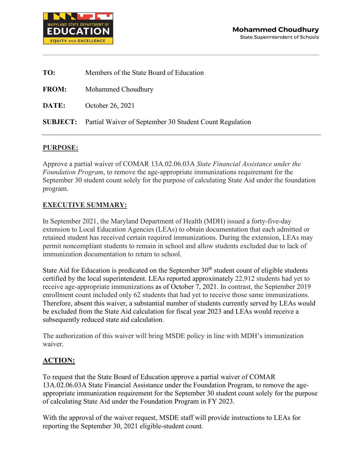

| TO:          | Members of the State Board of Education                                 |  |
|--------------|-------------------------------------------------------------------------|--|
| <b>FROM:</b> | Mohammed Choudhury                                                      |  |
| DATE:        | October 26, 2021                                                        |  |
|              | <b>SUBJECT:</b> Partial Waiver of September 30 Student Count Regulation |  |

## **PURPOSE:**

Approve a partial waiver of COMAR 13A.02.06.03A *State Financial Assistance under the Foundation Program*, to remove the age-appropriate immunizations requirement for the September 30 student count solely for the purpose of calculating State Aid under the foundation program.

## **EXECUTIVE SUMMARY:**

In September 2021, the Maryland Department of Health (MDH) issued a forty-five-day extension to Local Education Agencies (LEAs) to obtain documentation that each admitted or retained student has received certain required immunizations. During the extension, LEAs may permit noncompliant students to remain in school and allow students excluded due to lack of immunization documentation to return to school.

State Aid for Education is predicated on the September  $30<sup>th</sup>$  student count of eligible students certified by the local superintendent. LEAs reported approximately 22,912 students had yet to receive age-appropriate immunizations as of October 7, 2021. In contrast, the September 2019 enrollment count included only 62 students that had yet to receive those same immunizations. Therefore, absent this waiver, a substantial number of students currently served by LEAs would be excluded from the State Aid calculation for fiscal year 2023 and LEAs would receive a subsequently reduced state aid calculation.

The authorization of this waiver will bring MSDE policy in line with MDH's immunization waiver.

## **ACTION:**

To request that the State Board of Education approve a partial waiver of COMAR 13A.02.06.03A State Financial Assistance under the Foundation Program, to remove the ageappropriate immunization requirement for the September 30 student count solely for the purpose of calculating State Aid under the Foundation Program in FY 2023.

With the approval of the waiver request, MSDE staff will provide instructions to LEAs for reporting the September 30, 2021 eligible-student count.